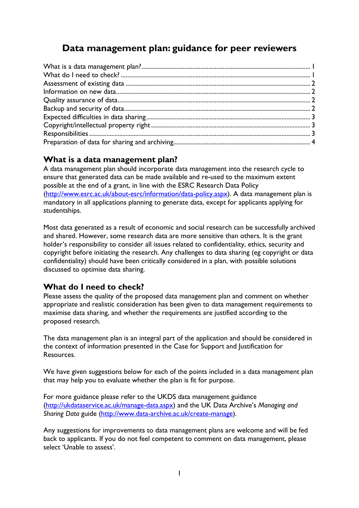# **Data management plan: guidance for peer reviewers**

#### <span id="page-0-0"></span>**What is a data management plan?**

A data management plan should incorporate data management into the research cycle to ensure that generated data can be made available and re-used to the maximum extent possible at the end of a grant, in line with the ESRC Research Data Policy [\(http://www.esrc.ac.uk/about-esrc/information/data-policy.aspx\)](http://www.esrc.ac.uk/about-esrc/information/data-policy.aspx). A data management plan is mandatory in all applications planning to generate data, except for applicants applying for studentships.

Most data generated as a result of economic and social research can be successfully archived and shared. However, some research data are more sensitive than others. It is the grant holder's responsibility to consider all issues related to confidentiality, ethics, security and copyright before initiating the research. Any challenges to data sharing (eg copyright or data confidentiality) should have been critically considered in a plan, with possible solutions discussed to optimise data sharing.

#### <span id="page-0-1"></span>**What do I need to check?**

Please assess the quality of the proposed data management plan and comment on whether appropriate and realistic consideration has been given to data management requirements to maximise data sharing, and whether the requirements are justified according to the proposed research.

The data management plan is an integral part of the application and should be considered in the context of information presented in the Case for Support and Justification for Resources.

We have given suggestions below for each of the points included in a data management plan that may help you to evaluate whether the plan is fit for purpose.

For more guidance please refer to the UKDS data management guidance [\(http://ukdataservice.ac.uk/manage-data.aspx\)](http://ukdataservice.ac.uk/manage-data.aspx) and the UK Data Archive's *Managing and Sharing Data* guide [\(http://www.data-archive.ac.uk/create-manage\)](http://www.data-archive.ac.uk/create-manage).

Any suggestions for improvements to data management plans are welcome and will be fed back to applicants. If you do not feel competent to comment on data management, please select 'Unable to assess'.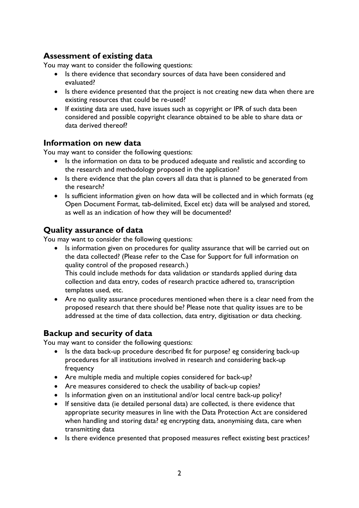#### <span id="page-1-0"></span>**Assessment of existing data**

You may want to consider the following questions:

- Is there evidence that secondary sources of data have been considered and evaluated?
- Is there evidence presented that the project is not creating new data when there are existing resources that could be re-used?
- If existing data are used, have issues such as copyright or IPR of such data been considered and possible copyright clearance obtained to be able to share data or data derived thereof?

#### <span id="page-1-1"></span>**Information on new data**

You may want to consider the following questions:

- Is the information on data to be produced adequate and realistic and according to the research and methodology proposed in the application?
- Is there evidence that the plan covers all data that is planned to be generated from the research?
- Is sufficient information given on how data will be collected and in which formats (eg Open Document Format, tab-delimited, Excel etc) data will be analysed and stored, as well as an indication of how they will be documented?

### <span id="page-1-2"></span>**Quality assurance of data**

You may want to consider the following questions:

• Is information given on procedures for quality assurance that will be carried out on the data collected? (Please refer to the Case for Support for full information on quality control of the proposed research.)

This could include methods for data validation or standards applied during data collection and data entry, codes of research practice adhered to, transcription templates used, etc.

• Are no quality assurance procedures mentioned when there is a clear need from the proposed research that there should be? Please note that quality issues are to be addressed at the time of data collection, data entry, digitisation or data checking.

#### <span id="page-1-3"></span>**Backup and security of data**

You may want to consider the following questions:

- Is the data back-up procedure described fit for purpose? eg considering back-up procedures for all institutions involved in research and considering back-up frequency
- Are multiple media and multiple copies considered for back-up?
- Are measures considered to check the usability of back-up copies?
- Is information given on an institutional and/or local centre back-up policy?
- If sensitive data (ie detailed personal data) are collected, is there evidence that appropriate security measures in line with the Data Protection Act are considered when handling and storing data? eg encrypting data, anonymising data, care when transmitting data
- Is there evidence presented that proposed measures reflect existing best practices?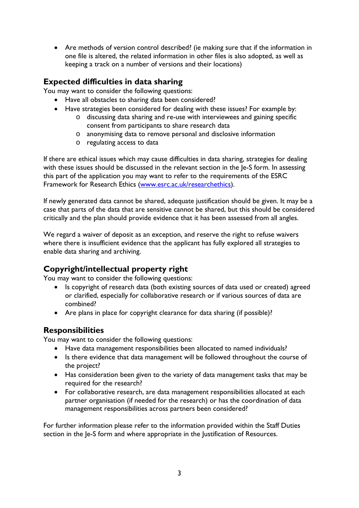• Are methods of version control described? (ie making sure that if the information in one file is altered, the related information in other files is also adopted, as well as keeping a track on a number of versions and their locations)

## <span id="page-2-0"></span>**Expected difficulties in data sharing**

You may want to consider the following questions:

- Have all obstacles to sharing data been considered?
- Have strategies been considered for dealing with these issues? For example by:
	- o discussing data sharing and re-use with interviewees and gaining specific consent from participants to share research data
	- o anonymising data to remove personal and disclosive information
	- o regulating access to data

If there are ethical issues which may cause difficulties in data sharing, strategies for dealing with these issues should be discussed in the relevant section in the Je-S form. In assessing this part of the application you may want to refer to the requirements of the ESRC Framework for Research Ethics [\(www.esrc.ac.uk/researchethics\)](http://www.esrc.ac.uk/researchethics).

If newly generated data cannot be shared, adequate justification should be given. It may be a case that parts of the data that are sensitive cannot be shared, but this should be considered critically and the plan should provide evidence that it has been assessed from all angles.

We regard a waiver of deposit as an exception, and reserve the right to refuse waivers where there is insufficient evidence that the applicant has fully explored all strategies to enable data sharing and archiving.

## <span id="page-2-1"></span>**Copyright/intellectual property right**

You may want to consider the following questions:

- Is copyright of research data (both existing sources of data used or created) agreed or clarified, especially for collaborative research or if various sources of data are combined?
- Are plans in place for copyright clearance for data sharing (if possible)?

#### <span id="page-2-2"></span>**Responsibilities**

You may want to consider the following questions:

- Have data management responsibilities been allocated to named individuals?
- Is there evidence that data management will be followed throughout the course of the project?
- Has consideration been given to the variety of data management tasks that may be required for the research?
- For collaborative research, are data management responsibilities allocated at each partner organisation (if needed for the research) or has the coordination of data management responsibilities across partners been considered?

For further information please refer to the information provided within the Staff Duties section in the Je-S form and where appropriate in the Justification of Resources.